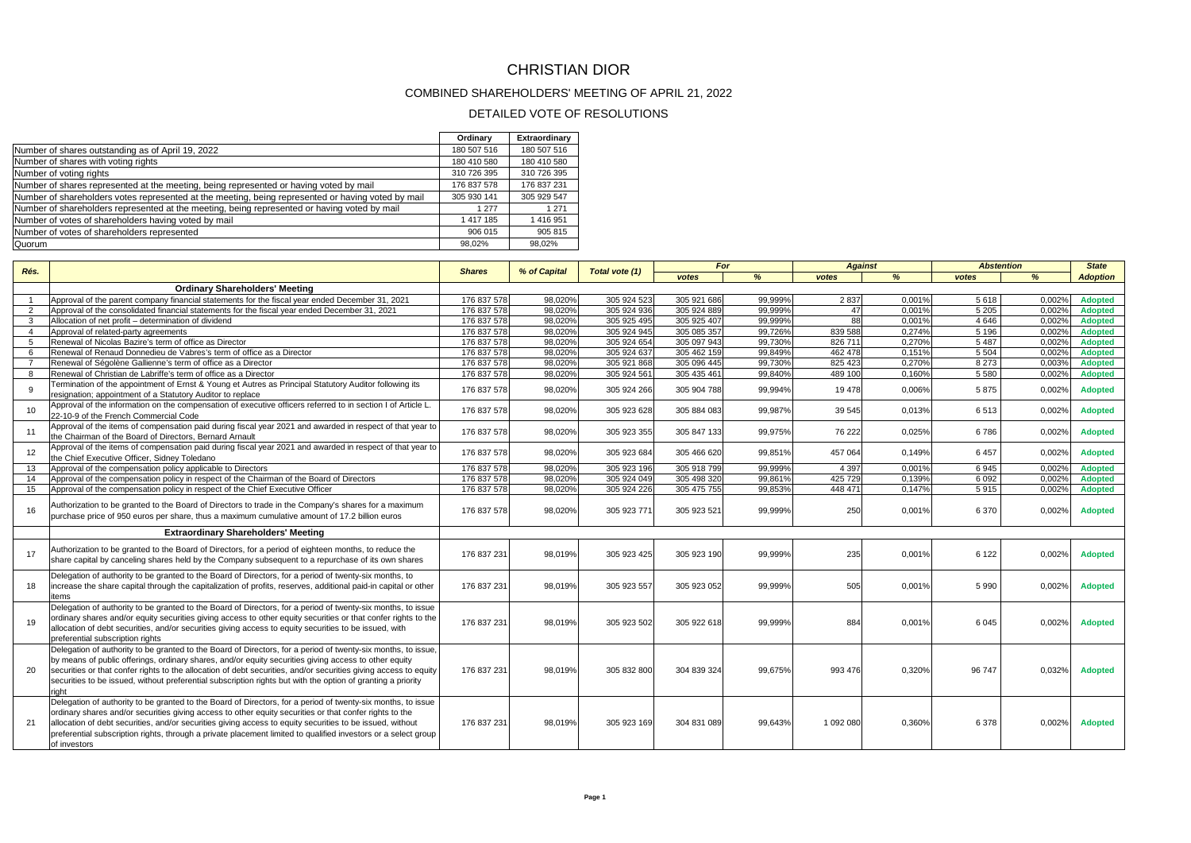## CHRISTIAN DIOR

## COMBINED SHAREHOLDERS' MEETING OF APRIL 21, 2022

## DETAILED VOTE OF RESOLUTIONS

|                                                                                                    | Ordinary    | Extraordinary |
|----------------------------------------------------------------------------------------------------|-------------|---------------|
| Number of shares outstanding as of April 19, 2022                                                  | 180 507 516 | 180 507 516   |
| Number of shares with voting rights                                                                | 180 410 580 | 180 410 580   |
| Number of voting rights                                                                            | 310 726 395 | 310 726 395   |
| Number of shares represented at the meeting, being represented or having voted by mail             | 176 837 578 | 176 837 231   |
| Number of shareholders votes represented at the meeting, being represented or having voted by mail | 305 930 141 | 305 929 547   |
| Number of shareholders represented at the meeting, being represented or having voted by mail       | 1 2 7 7     | 1 2 7 1       |
| Number of votes of shareholders having voted by mail                                               | 1417185     | 1416951       |
| Number of votes of shareholders represented                                                        | 906 015     | 905 815       |
| Quorum                                                                                             | 98.02%      | 98.02%        |

| Rés.            |                                                                                                                                                                                                                                                                                                                                                                                                                                                                        | <b>Shares</b> | % of Capital | Total vote (1) | For         |         | <b>Against</b> |               | <b>Abstention</b> |               | <b>State</b>    |
|-----------------|------------------------------------------------------------------------------------------------------------------------------------------------------------------------------------------------------------------------------------------------------------------------------------------------------------------------------------------------------------------------------------------------------------------------------------------------------------------------|---------------|--------------|----------------|-------------|---------|----------------|---------------|-------------------|---------------|-----------------|
|                 |                                                                                                                                                                                                                                                                                                                                                                                                                                                                        |               |              |                | votes       | %       | votes          | $\frac{9}{6}$ | votes             | $\frac{9}{6}$ | <b>Adoption</b> |
|                 | <b>Ordinary Shareholders' Meeting</b>                                                                                                                                                                                                                                                                                                                                                                                                                                  |               |              |                |             |         |                |               |                   |               |                 |
|                 | Approval of the parent company financial statements for the fiscal year ended December 31, 2021                                                                                                                                                                                                                                                                                                                                                                        | 176 837 578   | 98.020%      | 305 924 523    | 305 921 686 | 99.999% | 2837           | 0,001%        | 5 6 18            | 0.002%        | <b>Adopted</b>  |
| 2               | Approval of the consolidated financial statements for the fiscal year ended December 31, 2021                                                                                                                                                                                                                                                                                                                                                                          | 176 837 578   | 98.020%      | 305 924 936    | 305 924 889 | 99.999% | 47             | 0.001%        | 5 2 0 5           | 0.0029        | <b>Adopted</b>  |
| 3               | Allocation of net profit - determination of dividend                                                                                                                                                                                                                                                                                                                                                                                                                   | 176 837 578   | 98.020%      | 305 925 495    | 305 925 407 | 99.999% | 88             | 0.001%        | 4 6 4 6           | 0.002%        | <b>Adopted</b>  |
| $\overline{4}$  | Approval of related-party agreements                                                                                                                                                                                                                                                                                                                                                                                                                                   | 176 837 578   | 98,020%      | 305 924 945    | 305 085 357 | 99,726% | 839 588        | 0,274%        | 5 1 9 6           | 0,002%        | <b>Adopted</b>  |
| -5              | Renewal of Nicolas Bazire's term of office as Director                                                                                                                                                                                                                                                                                                                                                                                                                 | 176 837 578   | 98.020%      | 305 924 654    | 305 097 943 | 99.7309 | 826 711        | 0.270%        | 5 4 8 7           | 0.002%        | <b>Adopted</b>  |
| 6               | Renewal of Renaud Donnedieu de Vabres's term of office as a Director                                                                                                                                                                                                                                                                                                                                                                                                   | 176 837 578   | 98.020%      | 305 924 637    | 305 462 159 | 99.849% | 462 478        | 0.151%        | 5 5 0 4           | 0.002%        | <b>Adopted</b>  |
| $\overline{7}$  | Renewal of Ségolène Gallienne's term of office as a Director                                                                                                                                                                                                                                                                                                                                                                                                           | 176 837 578   | 98.020%      | 305 921 868    | 305 096 445 | 99.730% | 825 423        | 0.270%        | 8 2 7 3           | 0.003%        | <b>Adopted</b>  |
| 8               | Renewal of Christian de Labriffe's term of office as a Director                                                                                                                                                                                                                                                                                                                                                                                                        | 176 837 578   | 98.020%      | 305 924 561    | 305 435 461 | 99.840% | 489 100        | 0.160%        | 5 5 8 0           | 0.002%        | <b>Adopted</b>  |
| 9               | Termination of the appointment of Ernst & Young et Autres as Principal Statutory Auditor following its<br>resignation; appointment of a Statutory Auditor to replace                                                                                                                                                                                                                                                                                                   | 176 837 578   | 98.020%      | 305 924 266    | 305 904 788 | 99.994% | 19 478         | 0.006%        | 5875              | 0.002%        | <b>Adopted</b>  |
| 10 <sup>1</sup> | Approval of the information on the compensation of executive officers referred to in section I of Article L.<br>22-10-9 of the French Commercial Code                                                                                                                                                                                                                                                                                                                  | 176 837 578   | 98,020%      | 305 923 628    | 305 884 083 | 99,987% | 39 545         | 0,013%        | 6513              | 0,002%        | <b>Adopted</b>  |
| 11              | Approval of the items of compensation paid during fiscal year 2021 and awarded in respect of that year to<br>the Chairman of the Board of Directors, Bernard Arnault                                                                                                                                                                                                                                                                                                   | 176 837 578   | 98,020%      | 305 923 355    | 305 847 133 | 99,975% | 76 222         | 0,025%        | 6786              | 0,002%        | <b>Adopted</b>  |
| 12              | Approval of the items of compensation paid during fiscal year 2021 and awarded in respect of that year to<br>the Chief Executive Officer. Sidney Toledano                                                                                                                                                                                                                                                                                                              | 176 837 578   | 98,020%      | 305 923 684    | 305 466 620 | 99.851% | 457 064        | 0.149%        | 6 4 5 7           | 0,002%        | <b>Adopted</b>  |
| 13              | Approval of the compensation policy applicable to Directors                                                                                                                                                                                                                                                                                                                                                                                                            | 176 837 578   | 98.020%      | 305 923 196    | 305 918 799 | 99.999% | 4 3 9 7        | 0.001%        | 6945              | 0.002         | <b>Adopted</b>  |
| 14              | Approval of the compensation policy in respect of the Chairman of the Board of Directors                                                                                                                                                                                                                                                                                                                                                                               | 176 837 578   | 98.020%      | 305 924 049    | 305 498 320 | 99.8619 | 425 729        | 0,139%        | 6 0 9 2           | 0.002%        | <b>Adopted</b>  |
| 15              | Approval of the compensation policy in respect of the Chief Executive Officer                                                                                                                                                                                                                                                                                                                                                                                          | 176 837 578   | 98.020%      | 305 924 226    | 305 475 755 | 99.853% | 448 471        | 0.147%        | 5915              | 0,002%        | <b>Adopted</b>  |
| 16              | Authorization to be granted to the Board of Directors to trade in the Company's shares for a maximum<br>purchase price of 950 euros per share, thus a maximum cumulative amount of 17.2 billion euros                                                                                                                                                                                                                                                                  | 176 837 578   | 98,020%      | 305 923 771    | 305 923 521 | 99,999% | 250            | 0.001%        | 6 3 7 0           | 0.002%        | <b>Adopted</b>  |
|                 | <b>Extraordinary Shareholders' Meeting</b>                                                                                                                                                                                                                                                                                                                                                                                                                             |               |              |                |             |         |                |               |                   |               |                 |
| 17              | Authorization to be granted to the Board of Directors, for a period of eighteen months, to reduce the<br>share capital by canceling shares held by the Company subsequent to a repurchase of its own shares                                                                                                                                                                                                                                                            | 176 837 231   | 98,019%      | 305 923 425    | 305 923 190 | 99.999% | 235            | 0,001%        | 6 1 2 2           | 0,002%        | <b>Adopted</b>  |
| 18              | Delegation of authority to be granted to the Board of Directors, for a period of twenty-six months, to<br>increase the share capital through the capitalization of profits, reserves, additional paid-in capital or other<br>items                                                                                                                                                                                                                                     | 176 837 231   | 98.019%      | 305 923 557    | 305 923 052 | 99.999% | 505            | 0.001%        | 5 9 9 0           | 0.002%        | <b>Adopted</b>  |
| 19              | Delegation of authority to be granted to the Board of Directors, for a period of twenty-six months, to issue<br>ordinary shares and/or equity securities giving access to other equity securities or that confer rights to the<br>allocation of debt securities, and/or securities giving access to equity securities to be issued, with<br>preferential subscription rights                                                                                           | 176 837 231   | 98,019%      | 305 923 502    | 305 922 618 | 99,999% | 884            | 0,001%        | 6 0 4 5           | 0,002%        | <b>Adopted</b>  |
| 20              | Delegation of authority to be granted to the Board of Directors, for a period of twenty-six months, to issue,<br>by means of public offerings, ordinary shares, and/or equity securities giving access to other equity<br>securities or that confer rights to the allocation of debt securities, and/or securities giving access to equity<br>securities to be issued, without preferential subscription rights but with the option of granting a priority<br>right    | 176 837 231   | 98.019%      | 305 832 800    | 304 839 324 | 99.675% | 993 476        | 0.320%        | 96 747            | 0.032%        | <b>Adopted</b>  |
| 21              | Delegation of authority to be granted to the Board of Directors, for a period of twenty-six months, to issue<br>ordinary shares and/or securities giving access to other equity securities or that confer rights to the<br>allocation of debt securities, and/or securities giving access to equity securities to be issued, without<br>preferential subscription rights, through a private placement limited to qualified investors or a select group<br>of investors | 176 837 231   | 98.019%      | 305 923 169    | 304 831 089 | 99.643% | 1 092 080      | 0.360%        | 6 3 7 8           | 0.002%        | <b>Adopted</b>  |